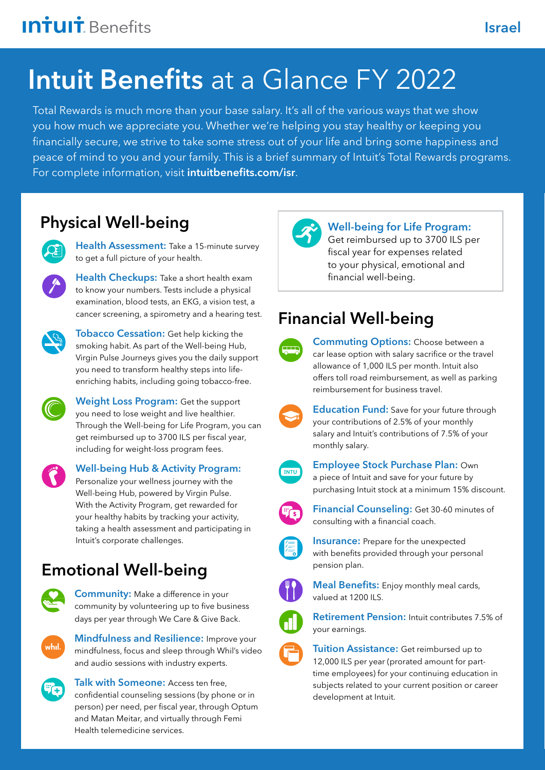# Intuit Benefits at a Glance FY 2022

Total Rewards is much more than your base salary. It's all of the various ways that we show you how much we appreciate you. Whether we're helping you stay healthy or keeping you financially secure, we strive to take some stress out of your life and bring some happiness and peace of mind to you and your family. This is a brief summary of Intuit's Total Rewards programs. For complete information, visit [intuitbenefits.com/isr](http://intuitbenefits.com/isr).

# [Physical Well-being](https://www.intuitbenefits.com/isr/physical-well-being)



[Health Assessment:](https://www.intuitbenefits.com/isr/physical-well-being/health-assessment) Take a 15-minute survey to get a full picture of your health.

[Health Checkups:](https://www.intuitbenefits.com/isr/physical-well-being/health-checkups) Take a short health exam to know your numbers. Tests include a physical examination, blood tests, an EKG, a vision test, a cancer screening, a spirometry and a hearing test.



**[Tobacco Cessation:](https://www.intuitbenefits.com/isr/physical-well-being/tobacco-cessation)** Get help kicking the smoking habit. As part of the Well-being Hub, Virgin Pulse Journeys gives you the daily support you need to transform healthy steps into lifeenriching habits, including going tobacco-free.



[Weight Loss Program:](https://www.intuitbenefits.com/isr/physical-well-being/weight-loss-program) Get the support you need to lose weight and live healthier. Through the Well-being for Life Program, you can get reimbursed up to 3700 ILS per fiscal year, including for weight-loss program fees.



[Well-being Hub & Activity Program:](https://www.intuitbenefits.com/isr/physical-well-being/well-being-hub-and-activity-program) 

Personalize your wellness journey with the Well-being Hub, powered by Virgin Pulse. With the Activity Program, get rewarded for your healthy habits by tracking your activity, taking a health assessment and participating in Intuit's corporate challenges.

# [Emotional Well-being](https://www.intuitbenefits.com/isr/emotional-well-being)



**Community:** Make a difference in your community by volunteering up to five business days per year through We Care & Give Back.



**Mindfulness and Resilience:** Improve your mindfulness, focus and sleep through Whil's video and audio sessions with industry experts.



[Talk with Someone:](https://www.intuitbenefits.com/isr/emotional-well-being/well-minds/talk-with-someone) Access ten free, confidential counseling sessions (by phone or in person) per need, per fiscal year, through Optum and Matan Meitar, and virtually through Femi Health telemedicine services.



#### Well-being for Life Program:

Get reimbursed up to 3700 ILS per fiscal year for expenses related to your physical, emotional and financial well-being.

# [Financial Well-being](https://www.intuitbenefits.com/isr/financial-well-being)



[Commuting Options:](https://www.intuitbenefits.com/isr/financial-well-being/commuting-options) Choose between a car lease option with salary sacrifice or the travel allowance of 1,000 ILS per month. Intuit also offers toll road reimbursement, as well as parking reimbursement for business travel.



**[Education Fund:](https://www.intuitbenefits.com/isr/financial-well-being/education-fund)** Save for your future through your contributions of 2.5% of your monthly salary and Intuit's contributions of 7.5% of your monthly salary.



[Employee Stock Purchase Plan:](https://www.intuitbenefits.com/isr/financial-well-being/employee-stock-purchase-plan) Own a piece of Intuit and save for your future by purchasing Intuit stock at a minimum 15% discount.



[Financial Counseling:](https://www.intuitbenefits.com/isr/financial-well-being/financial-counseling) Get 30-60 minutes of consulting with a financial coach.



**Insurance:** Prepare for the unexpected with benefits provided through your personal pension plan.



[Meal Benefits:](https://www.intuitbenefits.com/isr/financial-well-being/meal-benefits) Enjoy monthly meal cards, valued at 1200 ILS.



Retirement Pension: Intuit contributes 7.5% of your earnings.



**Tuition Assistance:** Get reimbursed up to 12,000 ILS per year (prorated amount for parttime employees) for your continuing education in subjects related to your current position or career development at Intuit.